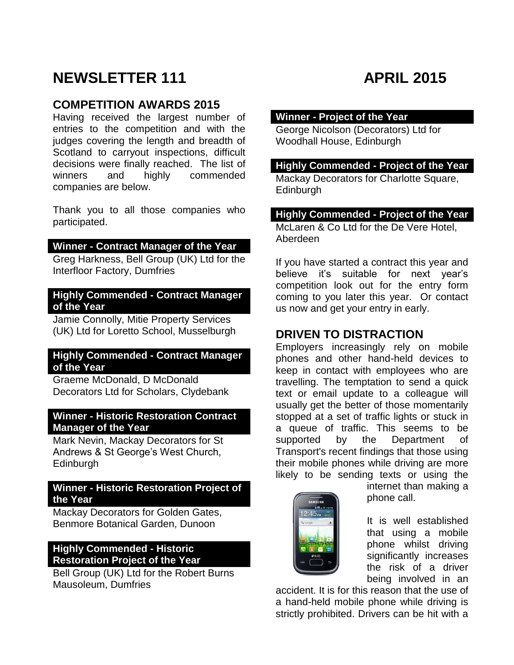# **NEWSLETTER 111 APRIL 2015**

# **COMPETITION AWARDS 2015**

Having received the largest number of entries to the competition and with the judges covering the length and breadth of Scotland to carryout inspections, difficult decisions were finally reached. The list of winners and highly commended companies are below.

Thank you to all those companies who participated.

#### **Winner - Contract Manager of the Year**

Greg Harkness, Bell Group (UK) Ltd for the Interfloor Factory, Dumfries

#### **Highly Commended - Contract Manager of the Year**

Jamie Connolly, Mitie Property Services (UK) Ltd for Loretto School, Musselburgh

#### **Highly Commended - Contract Manager of the Year**

Graeme McDonald, D McDonald Decorators Ltd for Scholars, Clydebank

#### **Winner - Historic Restoration Contract Manager of the Year**

Mark Nevin, Mackay Decorators for St Andrews & St George's West Church, **Edinburgh** 

#### **Winner - Historic Restoration Project of the Year**

Mackay Decorators for Golden Gates, Benmore Botanical Garden, Dunoon

#### **Highly Commended - Historic Restoration Project of the Year**

Bell Group (UK) Ltd for the Robert Burns Mausoleum, Dumfries

### **Winner - Project of the Year**

George Nicolson (Decorators) Ltd for Woodhall House, Edinburgh

#### **Highly Commended - Project of the Year**

Mackay Decorators for Charlotte Square, **Edinburgh** 

#### **Highly Commended - Project of the Year**

McLaren & Co Ltd for the De Vere Hotel, Aberdeen

If you have started a contract this year and believe it's suitable for next year's competition look out for the entry form coming to you later this year. Or contact us now and get your entry in early.

## **DRIVEN TO DISTRACTION**

Employers increasingly rely on mobile phones and other hand-held devices to keep in contact with employees who are travelling. The temptation to send a quick text or email update to a colleague will usually get the better of those momentarily stopped at a set of traffic lights or stuck in a queue of traffic. This seems to be supported by the Department of Transport's recent findings that those using their mobile phones while driving are more likely to be sending texts or using the



internet than making a phone call.

It is well established that using a mobile phone whilst driving significantly increases the risk of a driver being involved in an

accident. It is for this reason that the use of a hand-held mobile phone while driving is strictly prohibited. Drivers can be hit with a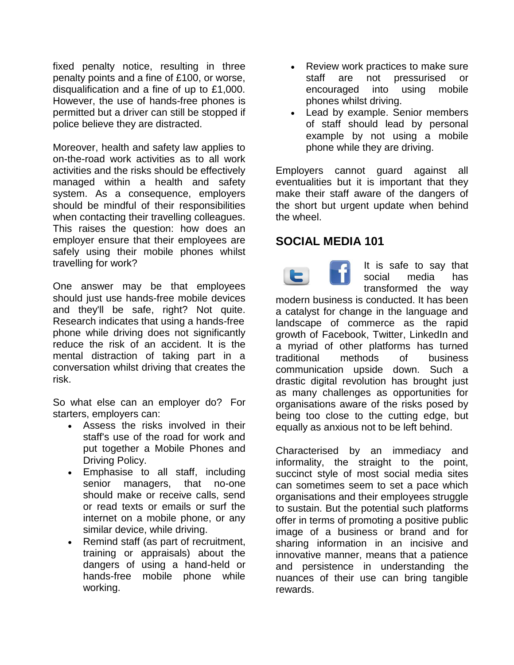fixed penalty notice, resulting in three penalty points and a fine of £100, or worse, disqualification and a fine of up to £1,000. However, the use of hands-free phones is permitted but a driver can still be stopped if police believe they are distracted.

Moreover, health and safety law applies to on-the-road work activities as to all work activities and the risks should be effectively managed within a health and safety system. As a consequence, employers should be mindful of their responsibilities when contacting their travelling colleagues. This raises the question: how does an employer ensure that their employees are safely using their mobile phones whilst travelling for work?

One answer may be that employees should just use hands-free mobile devices and they'll be safe, right? Not quite. Research indicates that using a hands-free phone while driving does not significantly reduce the risk of an accident. It is the mental distraction of taking part in a conversation whilst driving that creates the risk.

So what else can an employer do? For starters, employers can:

- Assess the risks involved in their staff's use of the road for work and put together a Mobile Phones and Driving Policy.
- Emphasise to all staff, including senior managers, that no-one should make or receive calls, send or read texts or emails or surf the internet on a mobile phone, or any similar device, while driving.
- Remind staff (as part of recruitment, training or appraisals) about the dangers of using a hand-held or hands-free mobile phone while working.
- Review work practices to make sure staff are not pressurised or encouraged into using mobile phones whilst driving.
- Lead by example. Senior members of staff should lead by personal example by not using a mobile phone while they are driving.

Employers cannot guard against all eventualities but it is important that they make their staff aware of the dangers of the short but urgent update when behind the wheel.

# **SOCIAL MEDIA 101**

It is safe to say that c social media has transformed the way modern business is conducted. It has been a catalyst for change in the language and landscape of commerce as the rapid growth of Facebook, Twitter, LinkedIn and a myriad of other platforms has turned traditional methods of business communication upside down. Such a drastic digital revolution has brought just as many challenges as opportunities for organisations aware of the risks posed by being too close to the cutting edge, but equally as anxious not to be left behind.

Characterised by an immediacy and informality, the straight to the point, succinct style of most social media sites can sometimes seem to set a pace which organisations and their employees struggle to sustain. But the potential such platforms offer in terms of promoting a positive public image of a business or brand and for sharing information in an incisive and innovative manner, means that a patience and persistence in understanding the nuances of their use can bring tangible rewards.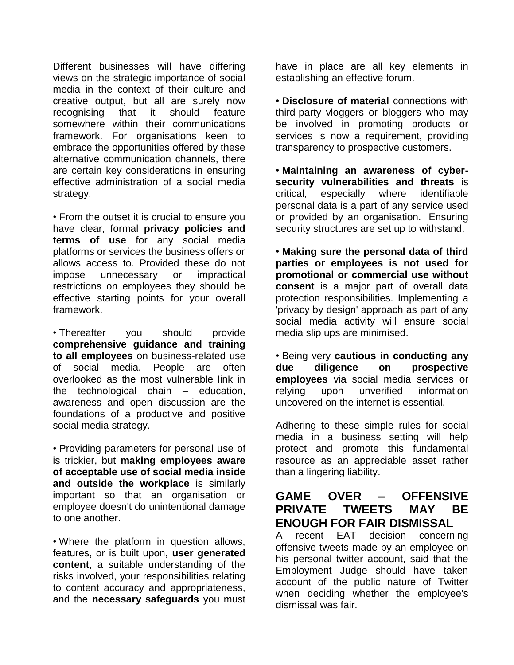Different businesses will have differing views on the strategic importance of social media in the context of their culture and creative output, but all are surely now recognising that it should feature somewhere within their communications framework. For organisations keen to embrace the opportunities offered by these alternative communication channels, there are certain key considerations in ensuring effective administration of a social media strategy.

• From the outset it is crucial to ensure you have clear, formal **privacy policies and terms of use** for any social media platforms or services the business offers or allows access to. Provided these do not impose unnecessary or impractical restrictions on employees they should be effective starting points for your overall [framework.](http://www.macroberts.com/content/content_2266.html)

• Thereafter you should provide **comprehensive guidance and training to all employees** on business-related use of social media. People are often overlooked as the most vulnerable link in the technological chain – education, awareness and open discussion are the foundations of a productive and positive social media strategy.

• Providing parameters for personal use of is trickier, but **making employees aware of acceptable use of social media inside and outside the workplace** is similarly important so that an organisation or employee doesn't do unintentional damage to one [another.](http://www.macroberts.com/content/content_2275.html)

• Where the platform in question allows, features, or is built upon, **user generated content**, a suitable understanding of the risks involved, your responsibilities relating to content accuracy and appropriateness, and the **necessary safeguards** you must

have in place are all key elements in establishing an effective forum.

• **Disclosure of material** connections with third-party vloggers or bloggers who may be involved in promoting products or services is now a requirement, providing transparency to prospective [customers.](http://www.macroberts.com/content/content_2259.html)

• **Maintaining an awareness of cybersecurity vulnerabilities and threats** is critical, especially where identifiable personal data is a part of any service used or provided by an organisation. Ensuring security structures are set up to [withstand.](http://www.macroberts.com/content/content_2288.html)

• **Making sure the personal data of third parties or employees is not used for promotional or commercial use without consent** is a major part of overall data protection responsibilities. Implementing a 'privacy by design' approach as part of any social media activity will ensure social media slip ups are minimised.

• Being very **cautious in conducting any due diligence on prospective employees** via social media services or relying upon unverified information uncovered on the internet is essential.

Adhering to these simple rules for social media in a business setting will help protect and promote this fundamental resource as an appreciable asset rather than a lingering liability.

# **GAME OVER – OFFENSIVE PRIVATE TWEETS MAY BE ENOUGH FOR FAIR DISMISSAL**

A recent EAT decision concerning offensive tweets made by an employee on his personal twitter account, said that the Employment Judge should have taken account of the public nature of Twitter when deciding whether the employee's dismissal was fair.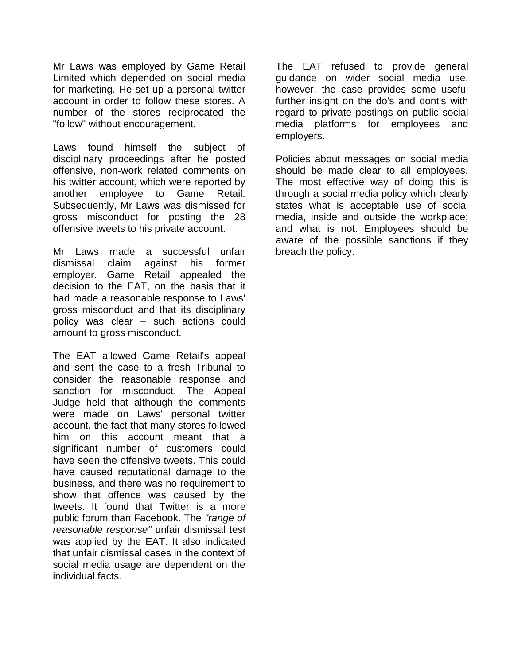Mr Laws was employed by Game Retail Limited which depended on social media for marketing. He set up a personal twitter account in order to follow these stores. A number of the stores reciprocated the "follow" without encouragement.

Laws found himself the subject of disciplinary proceedings after he posted offensive, non-work related comments on his twitter account, which were reported by another employee to Game Retail. Subsequently, Mr Laws was dismissed for gross misconduct for posting the 28 offensive tweets to his private account.

Mr Laws made a successful unfair dismissal claim against his former employer. Game Retail appealed the decision to the EAT, on the basis that it had made a reasonable response to Laws' gross misconduct and that its disciplinary policy was clear – such actions could amount to gross misconduct.

The EAT allowed Game Retail's appeal and sent the case to a fresh Tribunal to consider the reasonable response and sanction for misconduct. The Appeal Judge held that although the comments were made on Laws' personal twitter account, the fact that many stores followed him on this account meant that a significant number of customers could have seen the offensive tweets. This could have caused reputational damage to the business, and there was no requirement to show that offence was caused by the tweets. It found that Twitter is a more public forum than Facebook. The *"range of reasonable response"* unfair dismissal test was applied by the EAT. It also indicated that unfair dismissal cases in the context of social media usage are dependent on the individual facts.

The EAT refused to provide general guidance on wider social media use, however, the case provides some useful further insight on the do's and dont's with regard to private postings on public social media platforms for employees and employers.

Policies about messages on social media should be made clear to all employees. The most effective way of doing this is through a social media policy which clearly states what is acceptable use of social media, inside and outside the workplace; and what is not. Employees should be aware of the possible sanctions if they breach the policy.